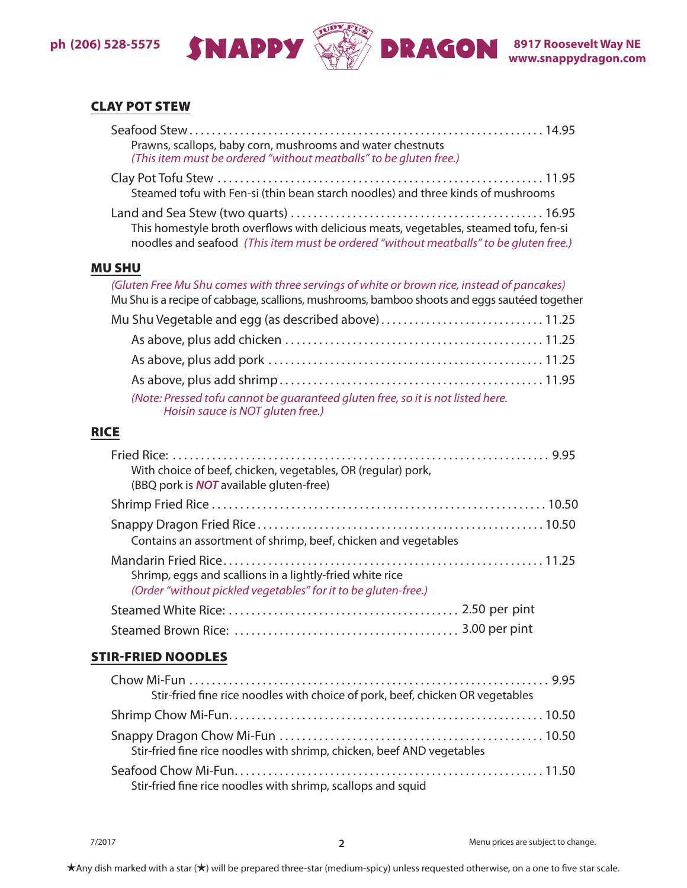## **ph (206) 528-5575**



## CLAY POT STEW

|             | Prawns, scallops, baby corn, mushrooms and water chestnuts<br>(This item must be ordered "without meatballs" to be gluten free.)                                                           |
|-------------|--------------------------------------------------------------------------------------------------------------------------------------------------------------------------------------------|
|             | Steamed tofu with Fen-si (thin bean starch noodles) and three kinds of mushrooms                                                                                                           |
|             | This homestyle broth overflows with delicious meats, vegetables, steamed tofu, fen-si<br>noodles and seafood (This item must be ordered "without meatballs" to be gluten free.)            |
|             | <b>MU SHU</b>                                                                                                                                                                              |
|             | (Gluten Free Mu Shu comes with three servings of white or brown rice, instead of pancakes)<br>Mu Shu is a recipe of cabbage, scallions, mushrooms, bamboo shoots and eggs sautéed together |
|             | Mu Shu Vegetable and egg (as described above)11.25                                                                                                                                         |
|             |                                                                                                                                                                                            |
|             |                                                                                                                                                                                            |
|             |                                                                                                                                                                                            |
|             | (Note: Pressed tofu cannot be guaranteed gluten free, so it is not listed here.<br>Hoisin sauce is NOT gluten free.)                                                                       |
| <b>RICE</b> |                                                                                                                                                                                            |
|             | With choice of beef, chicken, vegetables, OR (regular) pork,<br>(BBQ pork is <b>NOT</b> available gluten-free)                                                                             |
|             |                                                                                                                                                                                            |
|             | Contains an assortment of shrimp, beef, chicken and vegetables                                                                                                                             |
|             | Shrimp, eggs and scallions in a lightly-fried white rice<br>(Order "without pickled vegetables" for it to be gluten-free.)                                                                 |
|             |                                                                                                                                                                                            |
|             |                                                                                                                                                                                            |
|             | <b>STIR-FRIED NOODLES</b>                                                                                                                                                                  |
|             | Stir-fried fine rice noodles with choice of pork, beef, chicken OR vegetables                                                                                                              |
|             |                                                                                                                                                                                            |
|             | Stir-fried fine rice noodles with shrimp, chicken, beef AND vegetables                                                                                                                     |
|             |                                                                                                                                                                                            |

Stir-fried fine rice noodles with shrimp, scallops and squid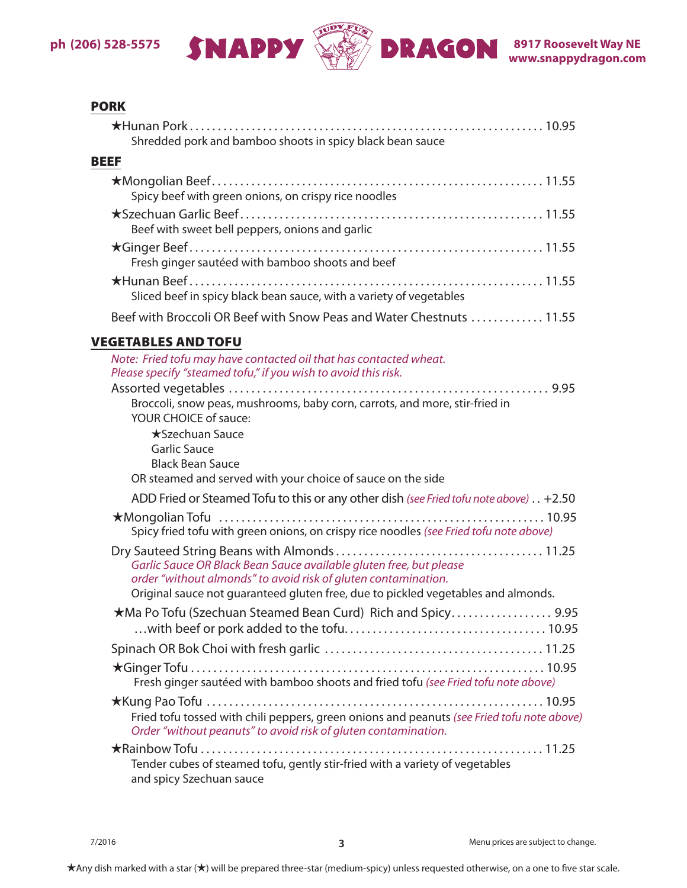

## **PORK**

| Shredded pork and bamboo shoots in spicy black bean sauce                                                                                                                                                                 |
|---------------------------------------------------------------------------------------------------------------------------------------------------------------------------------------------------------------------------|
| <b>BEEF</b>                                                                                                                                                                                                               |
| Spicy beef with green onions, on crispy rice noodles                                                                                                                                                                      |
| Beef with sweet bell peppers, onions and garlic                                                                                                                                                                           |
| Fresh ginger sautéed with bamboo shoots and beef                                                                                                                                                                          |
| Sliced beef in spicy black bean sauce, with a variety of vegetables                                                                                                                                                       |
| Beef with Broccoli OR Beef with Snow Peas and Water Chestnuts  11.55                                                                                                                                                      |
| <b>VEGETABLES AND TOFU</b>                                                                                                                                                                                                |
| Note: Fried tofu may have contacted oil that has contacted wheat.<br>Please specify "steamed tofu," if you wish to avoid this risk.                                                                                       |
| Broccoli, snow peas, mushrooms, baby corn, carrots, and more, stir-fried in<br><b>YOUR CHOICE of sauce:</b>                                                                                                               |
| <b>★Szechuan Sauce</b><br><b>Garlic Sauce</b><br><b>Black Bean Sauce</b><br>OR steamed and served with your choice of sauce on the side                                                                                   |
| ADD Fried or Steamed Tofu to this or any other dish (see Fried tofu note above) +2.50                                                                                                                                     |
| Spicy fried tofu with green onions, on crispy rice noodles (see Fried tofu note above)                                                                                                                                    |
| Garlic Sauce OR Black Bean Sauce available gluten free, but please<br>order "without almonds" to avoid risk of gluten contamination.<br>Original sauce not guaranteed gluten free, due to pickled vegetables and almonds. |
| *Ma Po Tofu (Szechuan Steamed Bean Curd) Rich and Spicy 9.95                                                                                                                                                              |
|                                                                                                                                                                                                                           |
| Fresh ginger sautéed with bamboo shoots and fried tofu (see Fried tofu note above)                                                                                                                                        |
| Fried tofu tossed with chili peppers, green onions and peanuts (see Fried tofu note above)<br>Order "without peanuts" to avoid risk of gluten contamination.                                                              |
| Tender cubes of steamed tofu, gently stir-fried with a variety of vegetables<br>and spicy Szechuan sauce                                                                                                                  |